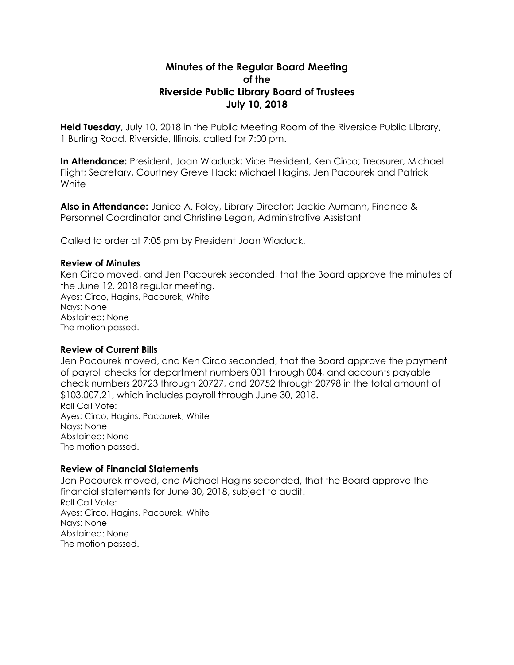# **Minutes of the Regular Board Meeting of the Riverside Public Library Board of Trustees July 10, 2018**

**Held Tuesday**, July 10, 2018 in the Public Meeting Room of the Riverside Public Library, 1 Burling Road, Riverside, Illinois, called for 7:00 pm.

**In Attendance:** President, Joan Wiaduck; Vice President, Ken Circo; Treasurer, Michael Flight; Secretary, Courtney Greve Hack; Michael Hagins, Jen Pacourek and Patrick **White** 

**Also in Attendance:** Janice A. Foley, Library Director; Jackie Aumann, Finance & Personnel Coordinator and Christine Legan, Administrative Assistant

Called to order at 7:05 pm by President Joan Wiaduck.

### **Review of Minutes**

Ken Circo moved, and Jen Pacourek seconded, that the Board approve the minutes of the June 12, 2018 regular meeting. Ayes: Circo, Hagins, Pacourek, White Nays: None Abstained: None The motion passed.

#### **Review of Current Bills**

Jen Pacourek moved, and Ken Circo seconded, that the Board approve the payment of payroll checks for department numbers 001 through 004, and accounts payable check numbers 20723 through 20727, and 20752 through 20798 in the total amount of \$103,007.21, which includes payroll through June 30, 2018. Roll Call Vote: Ayes: Circo, Hagins, Pacourek, White Nays: None Abstained: None The motion passed.

### **Review of Financial Statements**

Jen Pacourek moved, and Michael Hagins seconded, that the Board approve the financial statements for June 30, 2018, subject to audit. Roll Call Vote: Ayes: Circo, Hagins, Pacourek, White Nays: None Abstained: None The motion passed.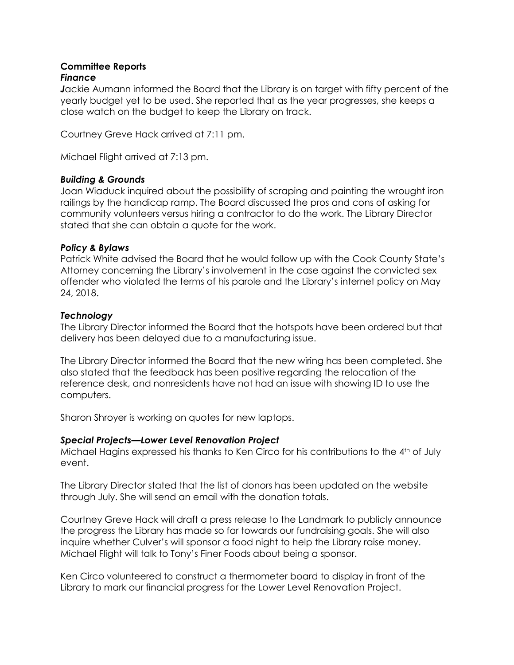### **Committee Reports** *Finance*

*J*ackie Aumann informed the Board that the Library is on target with fifty percent of the yearly budget yet to be used. She reported that as the year progresses, she keeps a close watch on the budget to keep the Library on track.

Courtney Greve Hack arrived at 7:11 pm.

Michael Flight arrived at 7:13 pm.

## *Building & Grounds*

Joan Wiaduck inquired about the possibility of scraping and painting the wrought iron railings by the handicap ramp. The Board discussed the pros and cons of asking for community volunteers versus hiring a contractor to do the work. The Library Director stated that she can obtain a quote for the work.

### *Policy & Bylaws*

Patrick White advised the Board that he would follow up with the Cook County State's Attorney concerning the Library's involvement in the case against the convicted sex offender who violated the terms of his parole and the Library's internet policy on May 24, 2018.

## *Technology*

The Library Director informed the Board that the hotspots have been ordered but that delivery has been delayed due to a manufacturing issue.

The Library Director informed the Board that the new wiring has been completed. She also stated that the feedback has been positive regarding the relocation of the reference desk, and nonresidents have not had an issue with showing ID to use the computers.

Sharon Shroyer is working on quotes for new laptops.

## *Special Projects—Lower Level Renovation Project*

Michael Hagins expressed his thanks to Ken Circo for his contributions to the 4th of July event.

The Library Director stated that the list of donors has been updated on the website through July. She will send an email with the donation totals.

Courtney Greve Hack will draft a press release to the Landmark to publicly announce the progress the Library has made so far towards our fundraising goals. She will also inquire whether Culver's will sponsor a food night to help the Library raise money. Michael Flight will talk to Tony's Finer Foods about being a sponsor.

Ken Circo volunteered to construct a thermometer board to display in front of the Library to mark our financial progress for the Lower Level Renovation Project.